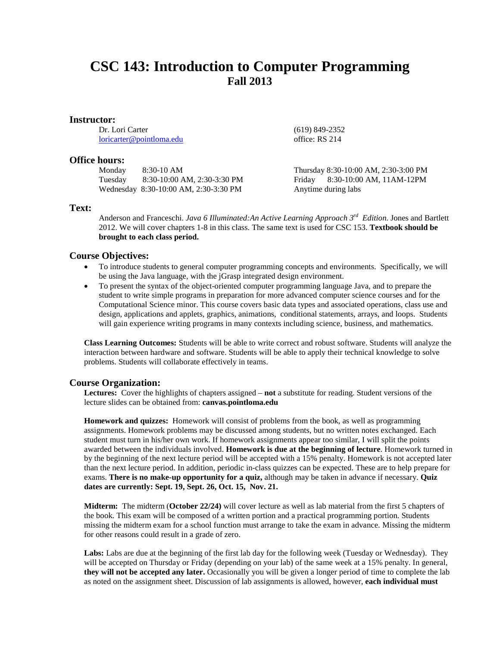# **CSC 143: Introduction to Computer Programming Fall 2013**

### **Instructor:**

Dr. Lori Carter [loricarter@pointloma.edu](mailto:loricarter@pointloma.edu)

### **Office hours:**

Monday 8:30-10 AM Tuesday 8:30-10:00 AM, 2:30-3:30 PM Wednesday 8:30-10:00 AM, 2:30-3:30 PM

office: RS 214

(619) 849-2352

Thursday 8:30-10:00 AM, 2:30-3:00 PM Friday 8:30-10:00 AM, 11AM-12PM Anytime during labs

# **Text:**

Anderson and Franceschi. *Java 6 Illuminated:An Active Learning Approach 3rd Edition.* Jones and Bartlett 2012. We will cover chapters 1-8 in this class. The same text is used for CSC 153. **Textbook should be brought to each class period.**

# **Course Objectives:**

- To introduce students to general computer programming concepts and environments. Specifically, we will be using the Java language, with the jGrasp integrated design environment.
- To present the syntax of the object-oriented computer programming language Java, and to prepare the student to write simple programs in preparation for more advanced computer science courses and for the Computational Science minor. This course covers basic data types and associated operations, class use and design, applications and applets, graphics, animations, conditional statements, arrays, and loops. Students will gain experience writing programs in many contexts including science, business, and mathematics.

**Class Learning Outcomes:** Students will be able to write correct and robust software. Students will analyze the interaction between hardware and software. Students will be able to apply their technical knowledge to solve problems. Students will collaborate effectively in teams.

# **Course Organization:**

**Lectures:** Cover the highlights of chapters assigned – **not** a substitute for reading. Student versions of the lecture slides can be obtained from: **canvas.pointloma.edu**

**Homework and quizzes:** Homework will consist of problems from the book, as well as programming assignments. Homework problems may be discussed among students, but no written notes exchanged. Each student must turn in his/her own work. If homework assignments appear too similar, I will split the points awarded between the individuals involved. **Homework is due at the beginning of lecture**. Homework turned in by the beginning of the next lecture period will be accepted with a 15% penalty. Homework is not accepted later than the next lecture period. In addition, periodic in-class quizzes can be expected. These are to help prepare for exams. **There is no make-up opportunity for a quiz,** although may be taken in advance if necessary. **Quiz dates are currently: Sept. 19, Sept. 26, Oct. 15, Nov. 21.**

**Midterm:** The midterm (**October 22/24)** will cover lecture as well as lab material from the first 5 chapters of the book. This exam will be composed of a written portion and a practical programming portion. Students missing the midterm exam for a school function must arrange to take the exam in advance. Missing the midterm for other reasons could result in a grade of zero.

**Labs:** Labs are due at the beginning of the first lab day for the following week (Tuesday or Wednesday). They will be accepted on Thursday or Friday (depending on your lab) of the same week at a 15% penalty. In general, **they will not be accepted any later.** Occasionally you will be given a longer period of time to complete the lab as noted on the assignment sheet. Discussion of lab assignments is allowed, however, **each individual must**